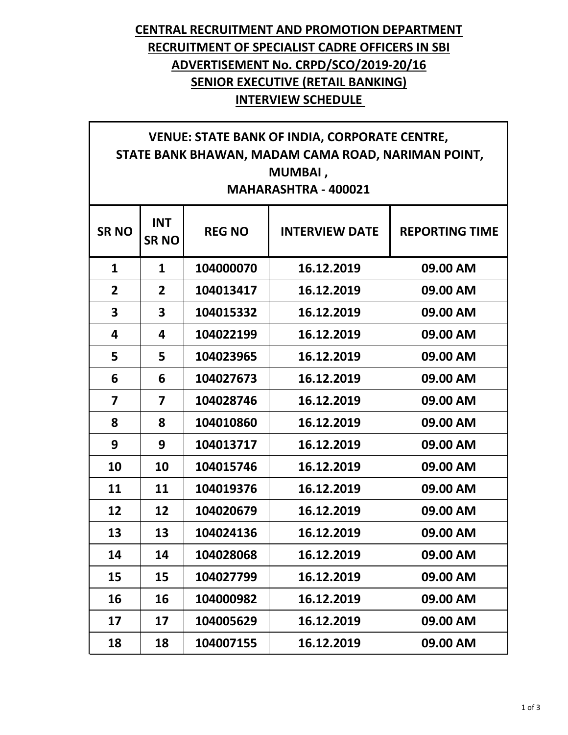## **CENTRAL RECRUITMENT AND PROMOTION DEPARTMENT RECRUITMENT OF SPECIALIST CADRE OFFICERS IN SBI ADVERTISEMENT No. CRPD/SCO/2019-20/16 SENIOR EXECUTIVE (RETAIL BANKING) INTERVIEW SCHEDULE**

## **VENUE: STATE BANK OF INDIA, CORPORATE CENTRE, STATE BANK BHAWAN, MADAM CAMA ROAD, NARIMAN POINT, MUMBAI , MAHARASHTRA - 400021**

| <b>SRNO</b>  | <b>INT</b><br><b>SRNO</b> | <b>REG NO</b> | <b>INTERVIEW DATE</b> | <b>REPORTING TIME</b> |
|--------------|---------------------------|---------------|-----------------------|-----------------------|
| $\mathbf{1}$ | $\mathbf{1}$              | 104000070     | 16.12.2019            | 09.00 AM              |
| 2            | $\overline{2}$            | 104013417     | 16.12.2019            | 09.00 AM              |
| 3            | 3                         | 104015332     | 16.12.2019            | 09.00 AM              |
| 4            | 4                         | 104022199     | 16.12.2019            | 09.00 AM              |
| 5            | 5                         | 104023965     | 16.12.2019            | 09.00 AM              |
| 6            | 6                         | 104027673     | 16.12.2019            | 09.00 AM              |
| 7            | 7                         | 104028746     | 16.12.2019            | 09.00 AM              |
| 8            | 8                         | 104010860     | 16.12.2019            | 09.00 AM              |
| 9            | 9                         | 104013717     | 16.12.2019            | 09.00 AM              |
| 10           | 10                        | 104015746     | 16.12.2019            | 09.00 AM              |
| 11           | 11                        | 104019376     | 16.12.2019            | 09.00 AM              |
| 12           | 12                        | 104020679     | 16.12.2019            | 09.00 AM              |
| 13           | 13                        | 104024136     | 16.12.2019            | 09.00 AM              |
| 14           | 14                        | 104028068     | 16.12.2019            | 09.00 AM              |
| 15           | 15                        | 104027799     | 16.12.2019            | 09.00 AM              |
| 16           | 16                        | 104000982     | 16.12.2019            | 09.00 AM              |
| 17           | 17                        | 104005629     | 16.12.2019            | 09.00 AM              |
| 18           | 18                        | 104007155     | 16.12.2019            | 09.00 AM              |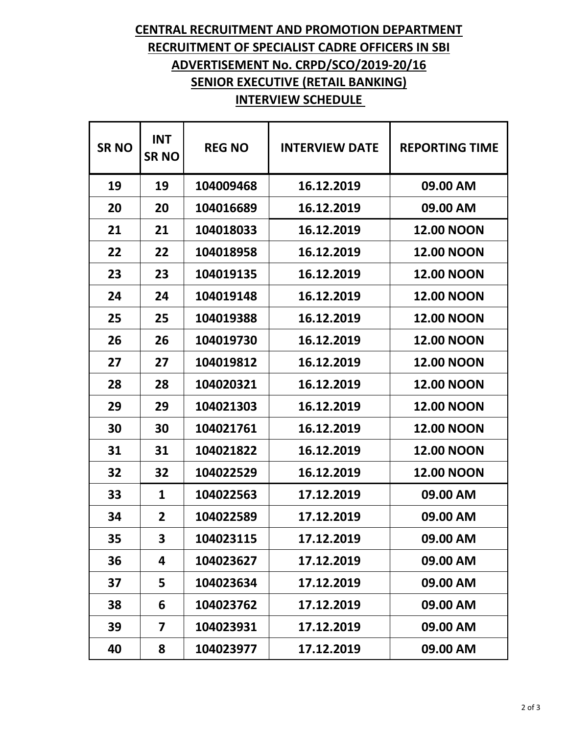## **CENTRAL RECRUITMENT AND PROMOTION DEPARTMENT RECRUITMENT OF SPECIALIST CADRE OFFICERS IN SBI ADVERTISEMENT No. CRPD/SCO/2019-20/16 SENIOR EXECUTIVE (RETAIL BANKING) INTERVIEW SCHEDULE**

| <b>SRNO</b> | <b>INT</b><br><b>SRNO</b> | <b>REG NO</b> | <b>INTERVIEW DATE</b> | <b>REPORTING TIME</b> |
|-------------|---------------------------|---------------|-----------------------|-----------------------|
| 19          | 19                        | 104009468     | 16.12.2019            | 09.00 AM              |
| 20          | 20                        | 104016689     | 16.12.2019            | 09.00 AM              |
| 21          | 21                        | 104018033     | 16.12.2019            | <b>12.00 NOON</b>     |
| 22          | 22                        | 104018958     | 16.12.2019            | <b>12.00 NOON</b>     |
| 23          | 23                        | 104019135     | 16.12.2019            | <b>12.00 NOON</b>     |
| 24          | 24                        | 104019148     | 16.12.2019            | <b>12.00 NOON</b>     |
| 25          | 25                        | 104019388     | 16.12.2019            | <b>12.00 NOON</b>     |
| 26          | 26                        | 104019730     | 16.12.2019            | <b>12.00 NOON</b>     |
| 27          | 27                        | 104019812     | 16.12.2019            | <b>12.00 NOON</b>     |
| 28          | 28                        | 104020321     | 16.12.2019            | <b>12.00 NOON</b>     |
| 29          | 29                        | 104021303     | 16.12.2019            | <b>12.00 NOON</b>     |
| 30          | 30                        | 104021761     | 16.12.2019            | <b>12.00 NOON</b>     |
| 31          | 31                        | 104021822     | 16.12.2019            | <b>12.00 NOON</b>     |
| 32          | 32                        | 104022529     | 16.12.2019            | <b>12.00 NOON</b>     |
| 33          | 1                         | 104022563     | 17.12.2019            | 09.00 AM              |
| 34          | 2                         | 104022589     | 17.12.2019            | 09.00 AM              |
| 35          | 3                         | 104023115     | 17.12.2019            | 09.00 AM              |
| 36          | 4                         | 104023627     | 17.12.2019            | 09.00 AM              |
| 37          | 5                         | 104023634     | 17.12.2019            | 09.00 AM              |
| 38          | 6                         | 104023762     | 17.12.2019            | 09.00 AM              |
| 39          | 7                         | 104023931     | 17.12.2019            | 09.00 AM              |
| 40          | 8                         | 104023977     | 17.12.2019            | 09.00 AM              |